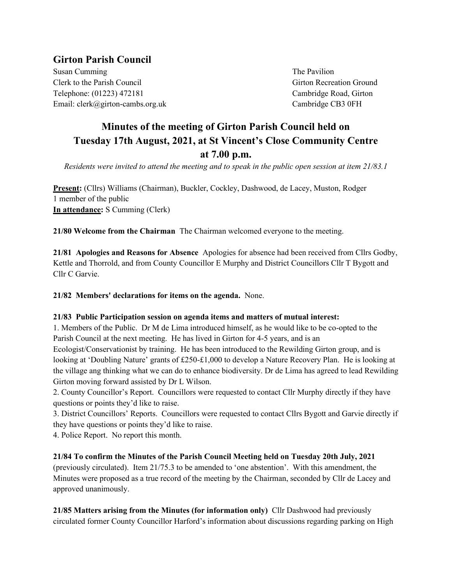## **Girton Parish Council**

Susan Cumming Susan Cumming Susan Cumming Susan Cumming Susan Susan The Pavilion Clerk to the Parish Council and Council Girton Recreation Ground Telephone: (01223) 472181 Cambridge Road, Girton Email: clerk@girton-cambs.org.uk Cambridge CB3 0FH

# **Minutes of the meeting of Girton Parish Council held on Tuesday 17th August, 2021, at St Vincent's Close Community Centre at 7.00 p.m.**

*Residents were invited to attend the meeting and to speak in the public open session at item 21/83.1*

**Present:** (Cllrs) Williams (Chairman), Buckler, Cockley, Dashwood, de Lacey, Muston, Rodger 1 member of the public **In attendance:** S Cumming (Clerk)

**21/80 Welcome from the Chairman** The Chairman welcomed everyone to the meeting.

**21/81 Apologies and Reasons for Absence** Apologies for absence had been received from Cllrs Godby, Kettle and Thorrold, and from County Councillor E Murphy and District Councillors Cllr T Bygott and Cllr C Garvie.

**21/82 Members' declarations for items on the agenda.** None.

#### **21/83 Public Participation session on agenda items and matters of mutual interest:**

1. Members of the Public. Dr M de Lima introduced himself, as he would like to be co-opted to the Parish Council at the next meeting. He has lived in Girton for 4-5 years, and is an

Ecologist/Conservationist by training. He has been introduced to the Rewilding Girton group, and is looking at 'Doubling Nature' grants of £250-£1,000 to develop a Nature Recovery Plan. He is looking at the village ang thinking what we can do to enhance biodiversity. Dr de Lima has agreed to lead Rewilding Girton moving forward assisted by Dr L Wilson.

2. County Councillor's Report. Councillors were requested to contact Cllr Murphy directly if they have questions or points they'd like to raise.

3. District Councillors' Reports. Councillors were requested to contact Cllrs Bygott and Garvie directly if they have questions or points they'd like to raise.

4. Police Report. No report this month.

**21/84 To confirm the Minutes of the Parish Council Meeting held on Tuesday 20th July, 2021** 

(previously circulated). Item 21/75.3 to be amended to 'one abstention'. With this amendment, the Minutes were proposed as a true record of the meeting by the Chairman, seconded by Cllr de Lacey and approved unanimously.

**21/85 Matters arising from the Minutes (for information only)** Cllr Dashwood had previously circulated former County Councillor Harford's information about discussions regarding parking on High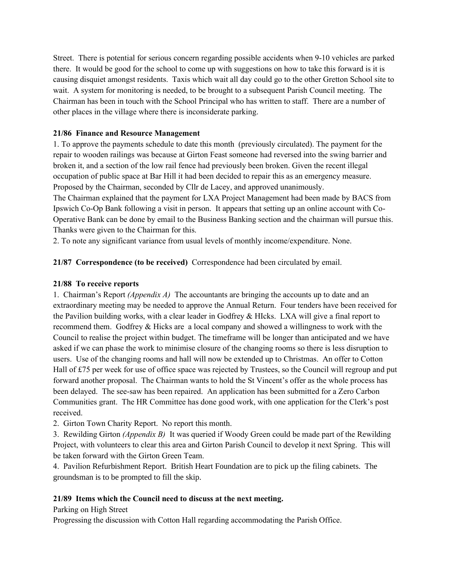Street. There is potential for serious concern regarding possible accidents when 9-10 vehicles are parked there. It would be good for the school to come up with suggestions on how to take this forward is it is causing disquiet amongst residents. Taxis which wait all day could go to the other Gretton School site to wait. A system for monitoring is needed, to be brought to a subsequent Parish Council meeting. The Chairman has been in touch with the School Principal who has written to staff. There are a number of other places in the village where there is inconsiderate parking.

#### **21/86 Finance and Resource Management**

1. To approve the payments schedule to date this month (previously circulated). The payment for the repair to wooden railings was because at Girton Feast someone had reversed into the swing barrier and broken it, and a section of the low rail fence had previously been broken. Given the recent illegal occupation of public space at Bar Hill it had been decided to repair this as an emergency measure. Proposed by the Chairman, seconded by Cllr de Lacey, and approved unanimously.

The Chairman explained that the payment for LXA Project Management had been made by BACS from Ipswich Co-Op Bank following a visit in person. It appears that setting up an online account with Co-Operative Bank can be done by email to the Business Banking section and the chairman will pursue this. Thanks were given to the Chairman for this.

2. To note any significant variance from usual levels of monthly income/expenditure. None.

**21/87 Correspondence (to be received)** Correspondence had been circulated by email.

#### **21/88 To receive reports**

1. Chairman's Report *(Appendix A)* The accountants are bringing the accounts up to date and an extraordinary meeting may be needed to approve the Annual Return. Four tenders have been received for the Pavilion building works, with a clear leader in Godfrey  $&$  HIcks. LXA will give a final report to recommend them. Godfrey & Hicks are a local company and showed a willingness to work with the Council to realise the project within budget. The timeframe will be longer than anticipated and we have asked if we can phase the work to minimise closure of the changing rooms so there is less disruption to users. Use of the changing rooms and hall will now be extended up to Christmas. An offer to Cotton Hall of £75 per week for use of office space was rejected by Trustees, so the Council will regroup and put forward another proposal. The Chairman wants to hold the St Vincent's offer as the whole process has been delayed. The see-saw has been repaired. An application has been submitted for a Zero Carbon Communities grant. The HR Committee has done good work, with one application for the Clerk's post received.

2. Girton Town Charity Report. No report this month.

3. Rewilding Girton *(Appendix B)* It was queried if Woody Green could be made part of the Rewilding Project, with volunteers to clear this area and Girton Parish Council to develop it next Spring. This will be taken forward with the Girton Green Team.

4. Pavilion Refurbishment Report. British Heart Foundation are to pick up the filing cabinets. The groundsman is to be prompted to fill the skip.

#### **21/89 Items which the Council need to discuss at the next meeting.**

#### Parking on High Street

Progressing the discussion with Cotton Hall regarding accommodating the Parish Office.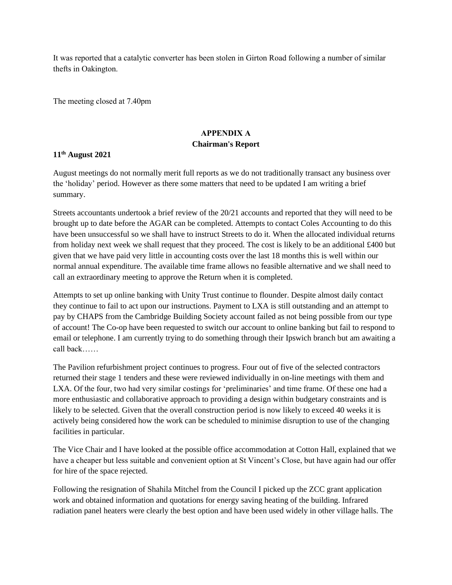It was reported that a catalytic converter has been stolen in Girton Road following a number of similar thefts in Oakington.

The meeting closed at 7.40pm

### **APPENDIX A Chairman's Report**

#### **11th August 2021**

August meetings do not normally merit full reports as we do not traditionally transact any business over the 'holiday' period. However as there some matters that need to be updated I am writing a brief summary.

Streets accountants undertook a brief review of the 20/21 accounts and reported that they will need to be brought up to date before the AGAR can be completed. Attempts to contact Coles Accounting to do this have been unsuccessful so we shall have to instruct Streets to do it. When the allocated individual returns from holiday next week we shall request that they proceed. The cost is likely to be an additional £400 but given that we have paid very little in accounting costs over the last 18 months this is well within our normal annual expenditure. The available time frame allows no feasible alternative and we shall need to call an extraordinary meeting to approve the Return when it is completed.

Attempts to set up online banking with Unity Trust continue to flounder. Despite almost daily contact they continue to fail to act upon our instructions. Payment to LXA is still outstanding and an attempt to pay by CHAPS from the Cambridge Building Society account failed as not being possible from our type of account! The Co-op have been requested to switch our account to online banking but fail to respond to email or telephone. I am currently trying to do something through their Ipswich branch but am awaiting a call back……

The Pavilion refurbishment project continues to progress. Four out of five of the selected contractors returned their stage 1 tenders and these were reviewed individually in on-line meetings with them and LXA. Of the four, two had very similar costings for 'preliminaries' and time frame. Of these one had a more enthusiastic and collaborative approach to providing a design within budgetary constraints and is likely to be selected. Given that the overall construction period is now likely to exceed 40 weeks it is actively being considered how the work can be scheduled to minimise disruption to use of the changing facilities in particular.

The Vice Chair and I have looked at the possible office accommodation at Cotton Hall, explained that we have a cheaper but less suitable and convenient option at St Vincent's Close, but have again had our offer for hire of the space rejected.

Following the resignation of Shahila Mitchel from the Council I picked up the ZCC grant application work and obtained information and quotations for energy saving heating of the building. Infrared radiation panel heaters were clearly the best option and have been used widely in other village halls. The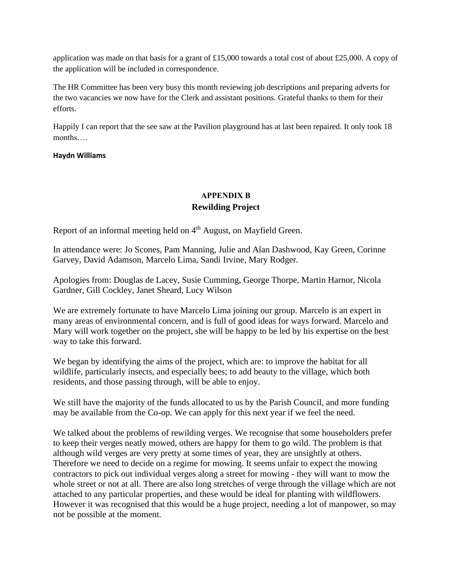application was made on that basis for a grant of £15,000 towards a total cost of about £25,000. A copy of the application will be included in correspondence.

The HR Committee has been very busy this month reviewing job descriptions and preparing adverts for the two vacancies we now have for the Clerk and assistant positions. Grateful thanks to them for their efforts.

Happily I can report that the see saw at the Pavilion playground has at last been repaired. It only took 18 months….

#### **Haydn Williams**

## **APPENDIX B Rewilding Project**

Report of an informal meeting held on 4<sup>th</sup> August, on Mayfield Green.

In attendance were: Jo Scones, Pam Manning, Julie and Alan Dashwood, Kay Green, Corinne Garvey, David Adamson, Marcelo Lima, Sandi Irvine, Mary Rodger.

Apologies from: Douglas de Lacey, Susie Cumming, George Thorpe, Martin Harnor, Nicola Gardner, Gill Cockley, Janet Sheard, Lucy Wilson

We are extremely fortunate to have Marcelo Lima joining our group. Marcelo is an expert in many areas of environmental concern, and is full of good ideas for ways forward. Marcelo and Mary will work together on the project, she will be happy to be led by his expertise on the best way to take this forward.

We began by identifying the aims of the project, which are: to improve the habitat for all wildlife, particularly insects, and especially bees; to add beauty to the village, which both residents, and those passing through, will be able to enjoy.

We still have the majority of the funds allocated to us by the Parish Council, and more funding may be available from the Co-op. We can apply for this next year if we feel the need.

We talked about the problems of rewilding verges. We recognise that some householders prefer to keep their verges neatly mowed, others are happy for them to go wild. The problem is that although wild verges are very pretty at some times of year, they are unsightly at others. Therefore we need to decide on a regime for mowing. It seems unfair to expect the mowing contractors to pick out individual verges along a street for mowing - they will want to mow the whole street or not at all. There are also long stretches of verge through the village which are not attached to any particular properties, and these would be ideal for planting with wildflowers. However it was recognised that this would be a huge project, needing a lot of manpower, so may not be possible at the moment.